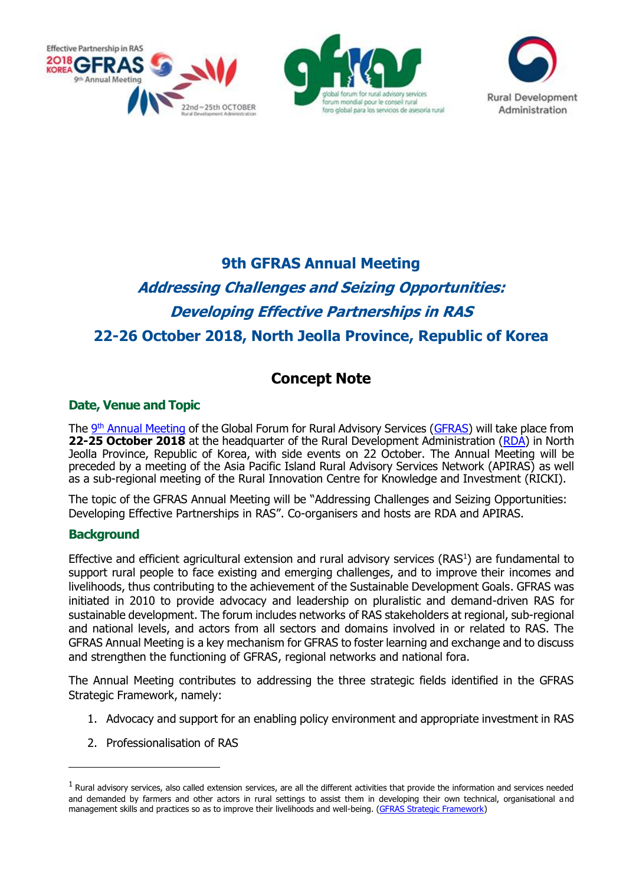



# **9th GFRAS Annual Meeting**

# **Addressing Challenges and Seizing Opportunities: Developing Effective Partnerships in RAS 22-26 October 2018, North Jeolla Province, Republic of Korea**

# **Concept Note**

# **Date, Venue and Topic**

The 9<sup>th</sup> [Annual Meeting](http://www.g-fras.org/en/am18.html) of the Global Forum for Rural Advisory Services [\(GFRAS\)](http://www.g-fras.org/en/) will take place from **22-25 October 2018** at the headquarter of the Rural Development Administration [\(RDA\)](http://www.rda.go.kr/foreign/eng/index.jsp) in North Jeolla Province, Republic of Korea, with side events on 22 October. The Annual Meeting will be preceded by a meeting of the Asia Pacific Island Rural Advisory Services Network (APIRAS) as well as a sub-regional meeting of the Rural Innovation Centre for Knowledge and Investment (RICKI).

The topic of the GFRAS Annual Meeting will be "Addressing Challenges and Seizing Opportunities: Developing Effective Partnerships in RAS". Co-organisers and hosts are RDA and APIRAS.

# **Background**

-

Effective and efficient agricultural extension and rural advisory services (RAS<sup>1</sup>) are fundamental to support rural people to face existing and emerging challenges, and to improve their incomes and livelihoods, thus contributing to the achievement of the Sustainable Development Goals. GFRAS was initiated in 2010 to provide advocacy and leadership on pluralistic and demand-driven RAS for sustainable development. The forum includes networks of RAS stakeholders at regional, sub-regional and national levels, and actors from all sectors and domains involved in or related to RAS. The GFRAS Annual Meeting is a key mechanism for GFRAS to foster learning and exchange and to discuss and strengthen the functioning of GFRAS, regional networks and national fora.

The Annual Meeting contributes to addressing the three strategic fields identified in the GFRAS Strategic Framework, namely:

- 1. Advocacy and support for an enabling policy environment and appropriate investment in RAS
- 2. Professionalisation of RAS

 $<sup>1</sup>$  Rural advisory services, also called extension services, are all the different activities that provide the information and services needed</sup> and demanded by farmers and other actors in rural settings to assist them in developing their own technical, organisational and management skills and practices so as to improve their livelihoods and well-being. [\(GFRAS Strategic Framework\)](http://www.g-fras.org/en/about-us/vision-mission.html)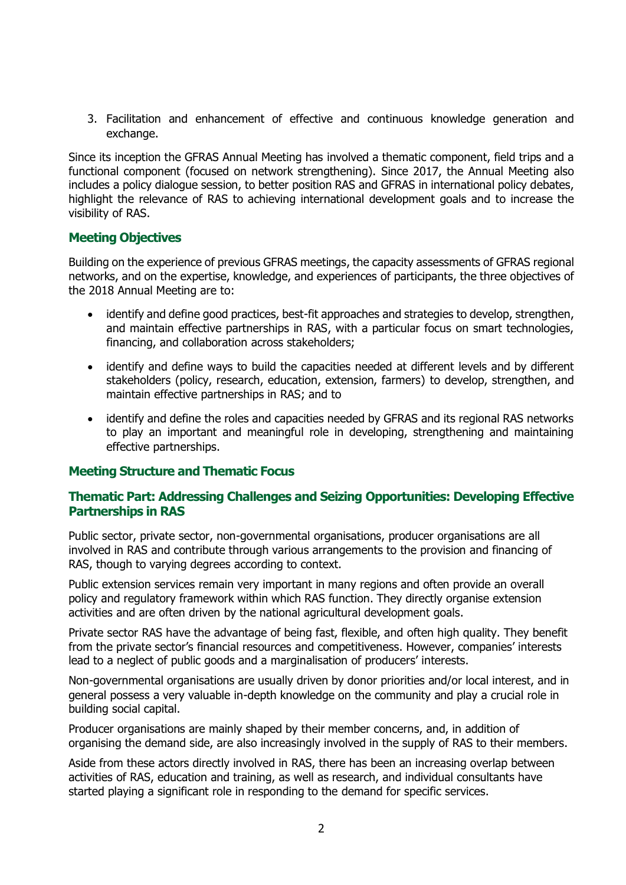3. Facilitation and enhancement of effective and continuous knowledge generation and exchange.

Since its inception the GFRAS Annual Meeting has involved a thematic component, field trips and a functional component (focused on network strengthening). Since 2017, the Annual Meeting also includes a policy dialogue session, to better position RAS and GFRAS in international policy debates, highlight the relevance of RAS to achieving international development goals and to increase the visibility of RAS.

#### **Meeting Objectives**

Building on the experience of previous GFRAS meetings, the capacity assessments of GFRAS regional networks, and on the expertise, knowledge, and experiences of participants, the three objectives of the 2018 Annual Meeting are to:

- identify and define good practices, best-fit approaches and strategies to develop, strengthen, and maintain effective partnerships in RAS, with a particular focus on smart technologies, financing, and collaboration across stakeholders;
- identify and define ways to build the capacities needed at different levels and by different stakeholders (policy, research, education, extension, farmers) to develop, strengthen, and maintain effective partnerships in RAS; and to
- identify and define the roles and capacities needed by GFRAS and its regional RAS networks to play an important and meaningful role in developing, strengthening and maintaining effective partnerships.

#### **Meeting Structure and Thematic Focus**

#### **Thematic Part: Addressing Challenges and Seizing Opportunities: Developing Effective Partnerships in RAS**

Public sector, private sector, non-governmental organisations, producer organisations are all involved in RAS and contribute through various arrangements to the provision and financing of RAS, though to varying degrees according to context.

Public extension services remain very important in many regions and often provide an overall policy and regulatory framework within which RAS function. They directly organise extension activities and are often driven by the national agricultural development goals.

Private sector RAS have the advantage of being fast, flexible, and often high quality. They benefit from the private sector's financial resources and competitiveness. However, companies' interests lead to a neglect of public goods and a marginalisation of producers' interests.

Non-governmental organisations are usually driven by donor priorities and/or local interest, and in general possess a very valuable in-depth knowledge on the community and play a crucial role in building social capital.

Producer organisations are mainly shaped by their member concerns, and, in addition of organising the demand side, are also increasingly involved in the supply of RAS to their members.

Aside from these actors directly involved in RAS, there has been an increasing overlap between activities of RAS, education and training, as well as research, and individual consultants have started playing a significant role in responding to the demand for specific services.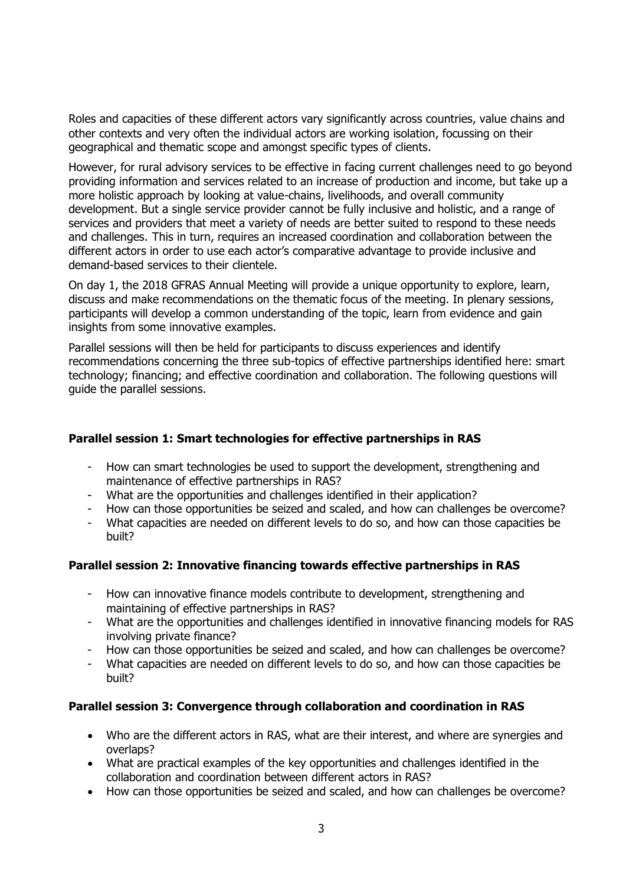Roles and capacities of these different actors vary significantly across countries, value chains and other contexts and very often the individual actors are working isolation, focussing on their geographical and thematic scope and amongst specific types of clients.

However, for rural advisory services to be effective in facing current challenges need to go beyond providing information and services related to an increase of production and income, but take up a more holistic approach by looking at value-chains, livelihoods, and overall community development. But a single service provider cannot be fully inclusive and holistic, and a range of services and providers that meet a variety of needs are better suited to respond to these needs and challenges. This in turn, requires an increased coordination and collaboration between the different actors in order to use each actor's comparative advantage to provide inclusive and demand-based services to their clientele.

On day 1, the 2018 GFRAS Annual Meeting will provide a unique opportunity to explore, learn, discuss and make recommendations on the thematic focus of the meeting. In plenary sessions, participants will develop a common understanding of the topic, learn from evidence and gain insights from some innovative examples.

Parallel sessions will then be held for participants to discuss experiences and identify recommendations concerning the three sub-topics of effective partnerships identified here: smart technology; financing; and effective coordination and collaboration. The following questions will guide the parallel sessions.

#### **Parallel session 1: Smart technologies for effective partnerships in RAS**

- How can smart technologies be used to support the development, strengthening and maintenance of effective partnerships in RAS?
- What are the opportunities and challenges identified in their application?
- How can those opportunities be seized and scaled, and how can challenges be overcome?
- What capacities are needed on different levels to do so, and how can those capacities be built?

#### **Parallel session 2: Innovative financing towards effective partnerships in RAS**

- How can innovative finance models contribute to development, strengthening and maintaining of effective partnerships in RAS?
- What are the opportunities and challenges identified in innovative financing models for RAS involving private finance?
- How can those opportunities be seized and scaled, and how can challenges be overcome?
- What capacities are needed on different levels to do so, and how can those capacities be built?

#### **Parallel session 3: Convergence through collaboration and coordination in RAS**

- Who are the different actors in RAS, what are their interest, and where are synergies and overlaps?
- What are practical examples of the key opportunities and challenges identified in the collaboration and coordination between different actors in RAS?
- How can those opportunities be seized and scaled, and how can challenges be overcome?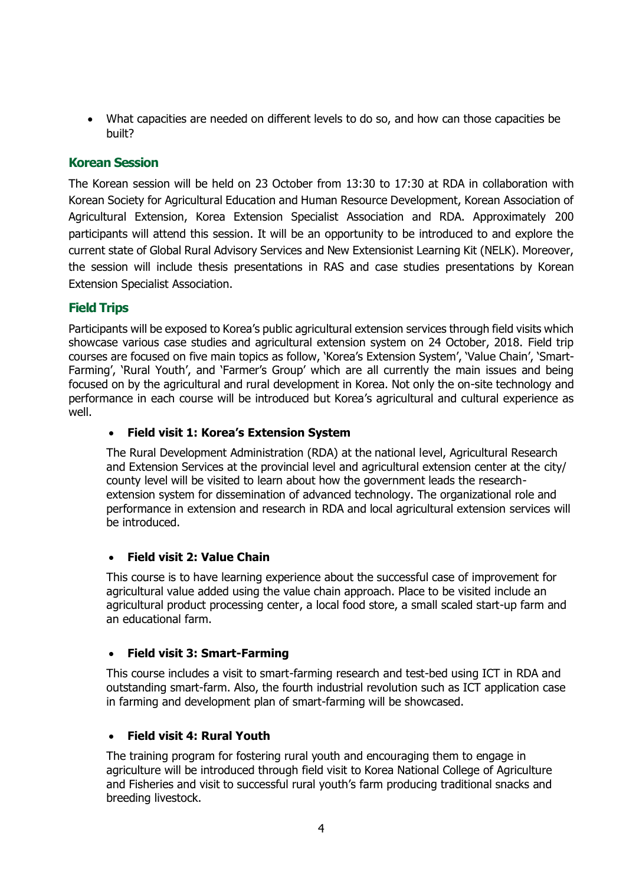• What capacities are needed on different levels to do so, and how can those capacities be built?

# **Korean Session**

The Korean session will be held on 23 October from 13:30 to 17:30 at RDA in collaboration with Korean Society for Agricultural Education and Human Resource Development, Korean Association of Agricultural Extension, Korea Extension Specialist Association and RDA. Approximately 200 participants will attend this session. It will be an opportunity to be introduced to and explore the current state of Global Rural Advisory Services and New Extensionist Learning Kit (NELK). Moreover, the session will include thesis presentations in RAS and case studies presentations by Korean Extension Specialist Association.

# **Field Trips**

Participants will be exposed to Korea's public agricultural extension services through field visits which showcase various case studies and agricultural extension system on 24 October, 2018. Field trip courses are focused on five main topics as follow, 'Korea's Extension System', 'Value Chain', 'Smart-Farming', 'Rural Youth', and 'Farmer's Group' which are all currently the main issues and being focused on by the agricultural and rural development in Korea. Not only the on-site technology and performance in each course will be introduced but Korea's agricultural and cultural experience as well.

# • **Field visit 1: Korea's Extension System**

The Rural Development Administration (RDA) at the national level, Agricultural Research and Extension Services at the provincial level and agricultural extension center at the city/ county level will be visited to learn about how the government leads the researchextension system for dissemination of advanced technology. The organizational role and performance in extension and research in RDA and local agricultural extension services will be introduced.

#### • **Field visit 2: Value Chain**

This course is to have learning experience about the successful case of improvement for agricultural value added using the value chain approach. Place to be visited include an agricultural product processing center, a local food store, a small scaled start-up farm and an educational farm.

#### • **Field visit 3: Smart-Farming**

This course includes a visit to smart-farming research and test-bed using ICT in RDA and outstanding smart-farm. Also, the fourth industrial revolution such as ICT application case in farming and development plan of smart-farming will be showcased.

#### • **Field visit 4: Rural Youth**

The training program for fostering rural youth and encouraging them to engage in agriculture will be introduced through field visit to Korea National College of Agriculture and Fisheries and visit to successful rural youth's farm producing traditional snacks and breeding livestock.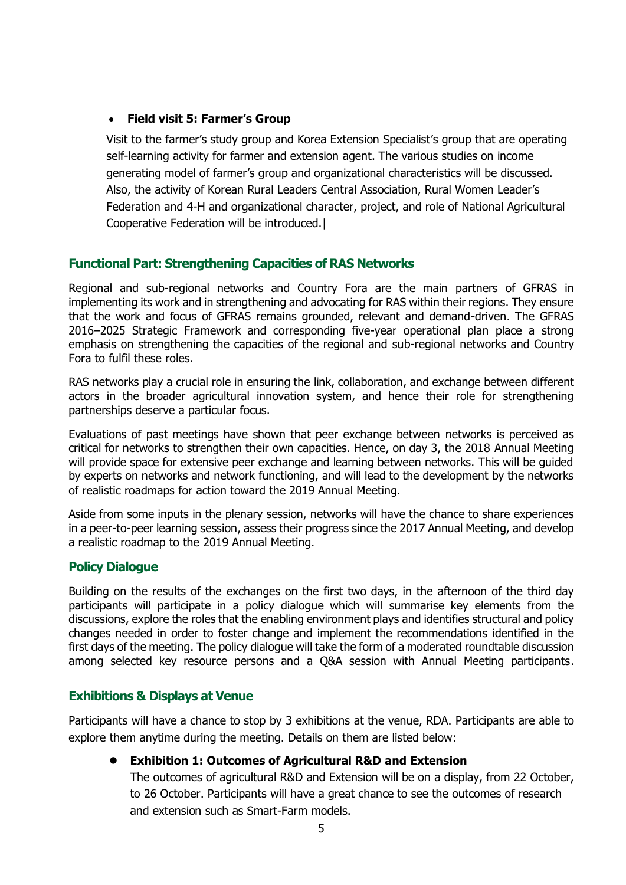# • **Field visit 5: Farmer's Group**

Visit to the farmer's study group and Korea Extension Specialist's group that are operating self-learning activity for farmer and extension agent. The various studies on income generating model of farmer's group and organizational characteristics will be discussed. Also, the activity of Korean Rural Leaders Central Association, Rural Women Leader's Federation and 4-H and organizational character, project, and role of National Agricultural Cooperative Federation will be introduced.|

#### **Functional Part: Strengthening Capacities of RAS Networks**

Regional and sub-regional networks and Country Fora are the main partners of GFRAS in implementing its work and in strengthening and advocating for RAS within their regions. They ensure that the work and focus of GFRAS remains grounded, relevant and demand-driven. The GFRAS 2016–2025 Strategic Framework and corresponding five-year operational plan place a strong emphasis on strengthening the capacities of the regional and sub-regional networks and Country Fora to fulfil these roles.

RAS networks play a crucial role in ensuring the link, collaboration, and exchange between different actors in the broader agricultural innovation system, and hence their role for strengthening partnerships deserve a particular focus.

Evaluations of past meetings have shown that peer exchange between networks is perceived as critical for networks to strengthen their own capacities. Hence, on day 3, the 2018 Annual Meeting will provide space for extensive peer exchange and learning between networks. This will be guided by experts on networks and network functioning, and will lead to the development by the networks of realistic roadmaps for action toward the 2019 Annual Meeting.

Aside from some inputs in the plenary session, networks will have the chance to share experiences in a peer-to-peer learning session, assess their progress since the 2017 Annual Meeting, and develop a realistic roadmap to the 2019 Annual Meeting.

#### **Policy Dialogue**

Building on the results of the exchanges on the first two days, in the afternoon of the third day participants will participate in a policy dialogue which will summarise key elements from the discussions, explore the roles that the enabling environment plays and identifies structural and policy changes needed in order to foster change and implement the recommendations identified in the first days of the meeting. The policy dialogue will take the form of a moderated roundtable discussion among selected key resource persons and a Q&A session with Annual Meeting participants.

#### **Exhibitions & Displays at Venue**

Participants will have a chance to stop by 3 exhibitions at the venue, RDA. Participants are able to explore them anytime during the meeting. Details on them are listed below:

#### ⚫ **Exhibition 1: Outcomes of Agricultural R&D and Extension**

The outcomes of agricultural R&D and Extension will be on a display, from 22 October, to 26 October. Participants will have a great chance to see the outcomes of research and extension such as Smart-Farm models.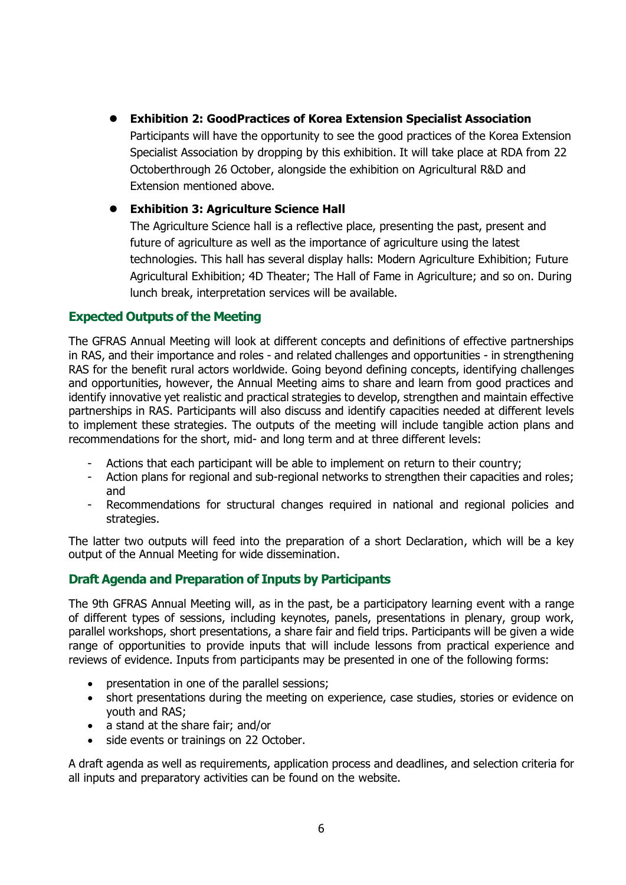⚫ **Exhibition 2: GoodPractices of Korea Extension Specialist Association**

Participants will have the opportunity to see the good practices of the Korea Extension Specialist Association by dropping by this exhibition. It will take place at RDA from 22 Octoberthrough 26 October, alongside the exhibition on Agricultural R&D and Extension mentioned above.

#### ⚫ **Exhibition 3: Agriculture Science Hall**

The Agriculture Science hall is a reflective place, presenting the past, present and future of agriculture as well as the importance of agriculture using the latest technologies. This hall has several display halls: Modern Agriculture Exhibition; Future Agricultural Exhibition; 4D Theater; The Hall of Fame in Agriculture; and so on. During lunch break, interpretation services will be available.

# **Expected Outputs of the Meeting**

The GFRAS Annual Meeting will look at different concepts and definitions of effective partnerships in RAS, and their importance and roles - and related challenges and opportunities - in strengthening RAS for the benefit rural actors worldwide. Going beyond defining concepts, identifying challenges and opportunities, however, the Annual Meeting aims to share and learn from good practices and identify innovative yet realistic and practical strategies to develop, strengthen and maintain effective partnerships in RAS. Participants will also discuss and identify capacities needed at different levels to implement these strategies. The outputs of the meeting will include tangible action plans and recommendations for the short, mid- and long term and at three different levels:

- Actions that each participant will be able to implement on return to their country;
- Action plans for regional and sub-regional networks to strengthen their capacities and roles; and
- Recommendations for structural changes required in national and regional policies and strategies.

The latter two outputs will feed into the preparation of a short Declaration, which will be a key output of the Annual Meeting for wide dissemination.

# **Draft Agenda and Preparation of Inputs by Participants**

The 9th GFRAS Annual Meeting will, as in the past, be a participatory learning event with a range of different types of sessions, including keynotes, panels, presentations in plenary, group work, parallel workshops, short presentations, a share fair and field trips. Participants will be given a wide range of opportunities to provide inputs that will include lessons from practical experience and reviews of evidence. Inputs from participants may be presented in one of the following forms:

- presentation in one of the parallel sessions;
- short presentations during the meeting on experience, case studies, stories or evidence on youth and RAS;
- a stand at the share fair; and/or
- side events or trainings on 22 October.

A draft agenda as well as requirements, application process and deadlines, and selection criteria for all inputs and preparatory activities can be found on the [website.](http://www.g-fras.org/en/am18.html)